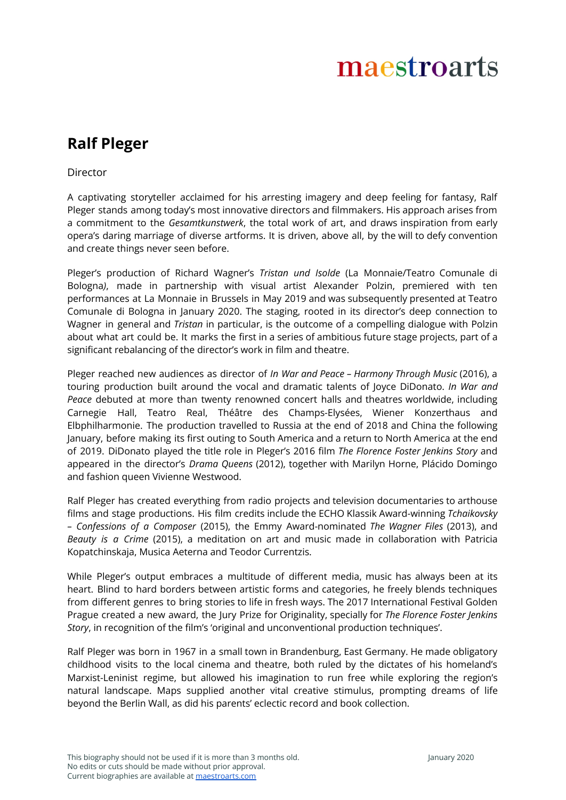## maestroarts

## **Ralf Pleger**

## Director

A captivating storyteller acclaimed for his arresting imagery and deep feeling for fantasy, Ralf Pleger stands among today's most innovative directors and filmmakers. His approach arises from a commitment to the *Gesamtkunstwerk*, the total work of art, and draws inspiration from early opera's daring marriage of diverse artforms. It is driven, above all, by the will to defy convention and create things never seen before.

Pleger's production of Richard Wagner's *Tristan und Isolde* (La Monnaie/Teatro Comunale di Bologna*)*, made in partnership with visual artist Alexander Polzin, premiered with ten performances at La Monnaie in Brussels in May 2019 and was subsequently presented at Teatro Comunale di Bologna in January 2020. The staging, rooted in its director's deep connection to Wagner in general and *Tristan* in particular, is the outcome of a compelling dialogue with Polzin about what art could be. It marks the first in a series of ambitious future stage projects, part of a significant rebalancing of the director's work in film and theatre.

Pleger reached new audiences as director of *In War and Peace – Harmony Through Music* (2016), a touring production built around the vocal and dramatic talents of Joyce DiDonato. *In War and Peace* debuted at more than twenty renowned concert halls and theatres worldwide, including Carnegie Hall, Teatro Real, Théâtre des Champs-Elysées, Wiener Konzerthaus and Elbphilharmonie. The production travelled to Russia at the end of 2018 and China the following January, before making its first outing to South America and a return to North America at the end of 2019. DiDonato played the title role in Pleger's 2016 film *The Florence Foster Jenkins Story* and appeared in the director's *Drama Queens* (2012), together with Marilyn Horne, Plácido Domingo and fashion queen Vivienne Westwood.

Ralf Pleger has created everything from radio projects and television documentaries to arthouse films and stage productions. His film credits include the ECHO Klassik Award-winning *Tchaikovsky – Confessions of a Composer* (2015), the Emmy Award-nominated *The Wagner Files* (2013), and *Beauty is a Crime* (2015), a meditation on art and music made in collaboration with Patricia Kopatchinskaja, Musica Aeterna and Teodor Currentzis.

While Pleger's output embraces a multitude of different media, music has always been at its heart. Blind to hard borders between artistic forms and categories, he freely blends techniques from different genres to bring stories to life in fresh ways. The 2017 International Festival Golden Prague created a new award, the Jury Prize for Originality, specially for *The Florence Foster Jenkins Story*, in recognition of the film's 'original and unconventional production techniques'.

Ralf Pleger was born in 1967 in a small town in Brandenburg, East Germany. He made obligatory childhood visits to the local cinema and theatre, both ruled by the dictates of his homeland's Marxist-Leninist regime, but allowed his imagination to run free while exploring the region's natural landscape. Maps supplied another vital creative stimulus, prompting dreams of life beyond the Berlin Wall, as did his parents' eclectic record and book collection.